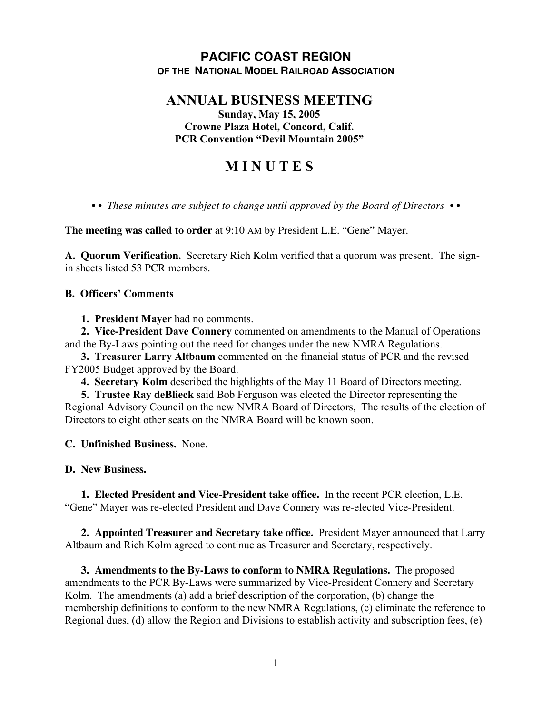## **PACIFIC COAST REGION OF THE NATIONAL MODEL RAILROAD ASSOCIATION**

# **ANNUAL BUSINESS MEETING**

**Sunday, May 15, 2005 Crowne Plaza Hotel, Concord, Calif. PCR Convention "Devil Mountain 2005"**

## **M I N U T E S**

*• • These minutes are subject to change until approved by the Board of Directors • •*

**The meeting was called to order** at 9:10 AM by President L.E. "Gene" Mayer.

**A. Quorum Verification.** Secretary Rich Kolm verified that a quorum was present. The signin sheets listed 53 PCR members.

#### **B. Officers' Comments**

**1. President Mayer** had no comments.

**2. Vice-President Dave Connery** commented on amendments to the Manual of Operations and the By-Laws pointing out the need for changes under the new NMRA Regulations.

**3. Treasurer Larry Altbaum** commented on the financial status of PCR and the revised FY2005 Budget approved by the Board.

**4. Secretary Kolm** described the highlights of the May 11 Board of Directors meeting.

**5. Trustee Ray deBlieck** said Bob Ferguson was elected the Director representing the Regional Advisory Council on the new NMRA Board of Directors, The results of the election of Directors to eight other seats on the NMRA Board will be known soon.

### **C. Unfinished Business.** None.

### **D. New Business.**

**1. Elected President and Vice-President take office.** In the recent PCR election, L.E. "Gene" Mayer was re-elected President and Dave Connery was re-elected Vice-President.

**2. Appointed Treasurer and Secretary take office.** President Mayer announced that Larry Altbaum and Rich Kolm agreed to continue as Treasurer and Secretary, respectively.

**3. Amendments to the By-Laws to conform to NMRA Regulations.** The proposed amendments to the PCR By-Laws were summarized by Vice-President Connery and Secretary Kolm. The amendments (a) add a brief description of the corporation, (b) change the membership definitions to conform to the new NMRA Regulations, (c) eliminate the reference to Regional dues, (d) allow the Region and Divisions to establish activity and subscription fees, (e)